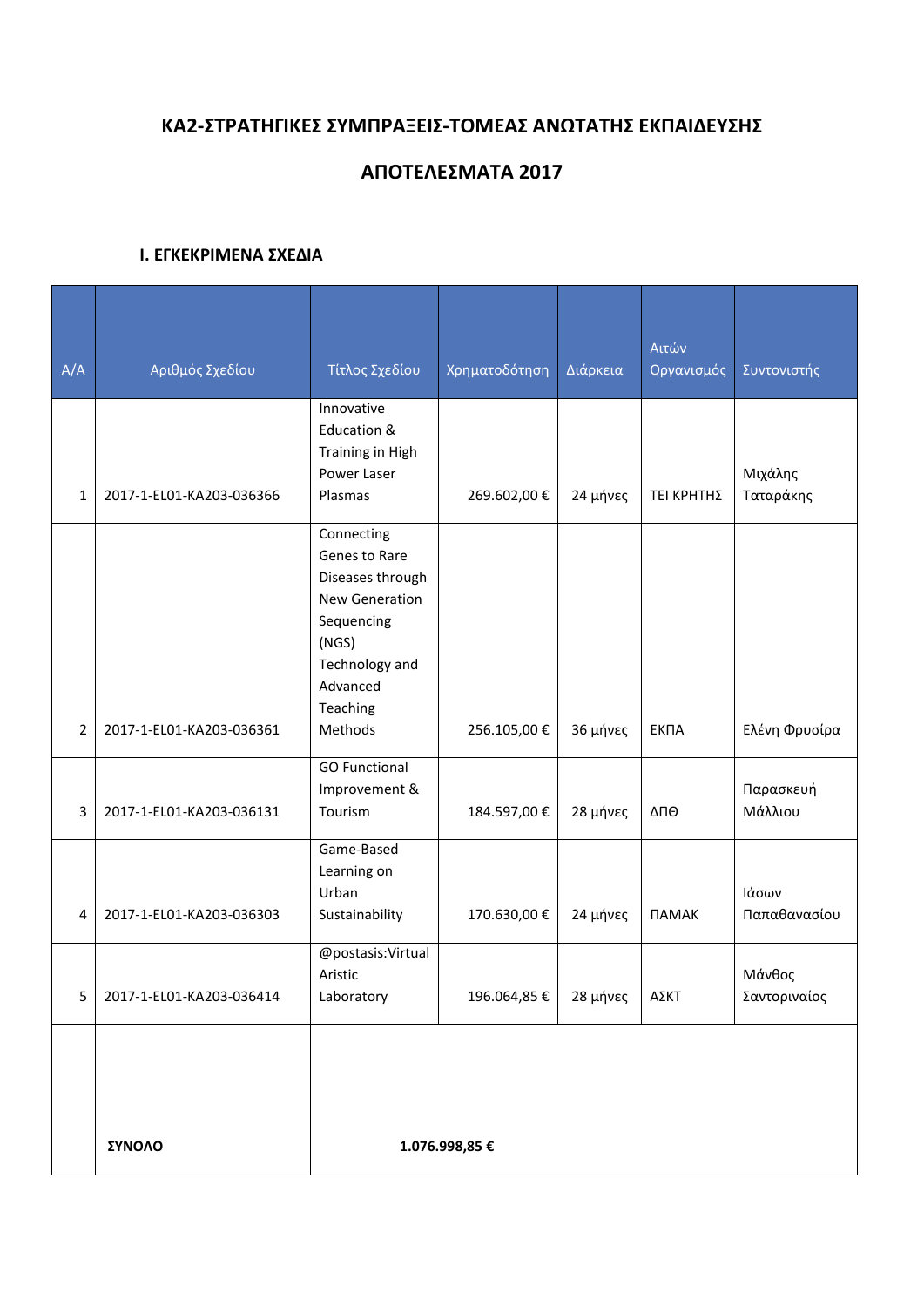# **KA2-ΣΤΡΑΤΗΓΙΚΕΣ ΣΥΜΠΡΑΞΕΙΣ-ΤΟΜΕΑΣ ΑΝΩΤΑΤΗΣ ΕΚΠΑΙΔΕΥΣΗΣ**

## **ΑΠΟΤΕΛΕΣΜΑΤΑ 2017**

#### **Ι. ΕΓΚΕΚΡΙΜΕΝΑ ΣΧΕΔΙΑ**

|                |                          |                      |               |          | Αιτών               |               |
|----------------|--------------------------|----------------------|---------------|----------|---------------------|---------------|
| A/A            | Αριθμός Σχεδίου          | Τίτλος Σχεδίου       | Χρηματοδότηση | Διάρκεια | Οργανισμός          | Συντονιστής   |
|                |                          | Innovative           |               |          |                     |               |
|                |                          | Education &          |               |          |                     |               |
|                |                          | Training in High     |               |          |                     |               |
|                |                          | Power Laser          |               |          |                     | Μιχάλης       |
| $\mathbf{1}$   | 2017-1-EL01-KA203-036366 | Plasmas              | 269.602,00€   | 24 μήνες | ΤΕΙ ΚΡΗΤΗΣ          | Ταταράκης     |
|                |                          | Connecting           |               |          |                     |               |
|                |                          | Genes to Rare        |               |          |                     |               |
|                |                          | Diseases through     |               |          |                     |               |
|                |                          | New Generation       |               |          |                     |               |
|                |                          | Sequencing           |               |          |                     |               |
|                |                          | (NGS)                |               |          |                     |               |
|                |                          | Technology and       |               |          |                     |               |
|                |                          | Advanced             |               |          |                     |               |
|                |                          | Teaching             |               |          |                     |               |
| $\overline{2}$ | 2017-1-EL01-KA203-036361 | Methods              | 256.105,00€   | 36 μήνες | ЕКПА                | Ελένη Φρυσίρα |
|                |                          | <b>GO Functional</b> |               |          |                     |               |
|                |                          | Improvement &        |               |          |                     | Παρασκευή     |
| 3              | 2017-1-EL01-KA203-036131 | Tourism              | 184.597,00 €  | 28 μήνες | ΔΠΘ                 | Μάλλιου       |
|                |                          | Game-Based           |               |          |                     |               |
|                |                          | Learning on          |               |          |                     |               |
|                |                          | Urban                |               |          |                     | Ιάσων         |
| 4              | 2017-1-EL01-KA203-036303 | Sustainability       | 170.630,00€   | 24 μήνες | <b><i>NAMAK</i></b> | Παπαθανασίου  |
|                |                          | @postasis:Virtual    |               |          |                     |               |
|                |                          | Aristic              |               |          |                     | Μάνθος        |
| 5              | 2017-1-EL01-KA203-036414 | Laboratory           | 196.064,85€   | 28 μήνες | ΑΣΚΤ                | Σαντοριναίος  |
|                |                          |                      |               |          |                     |               |
|                |                          |                      |               |          |                     |               |
|                |                          |                      |               |          |                     |               |
|                |                          |                      |               |          |                     |               |
|                | ΣΥΝΟΛΟ                   | 1.076.998,85 €       |               |          |                     |               |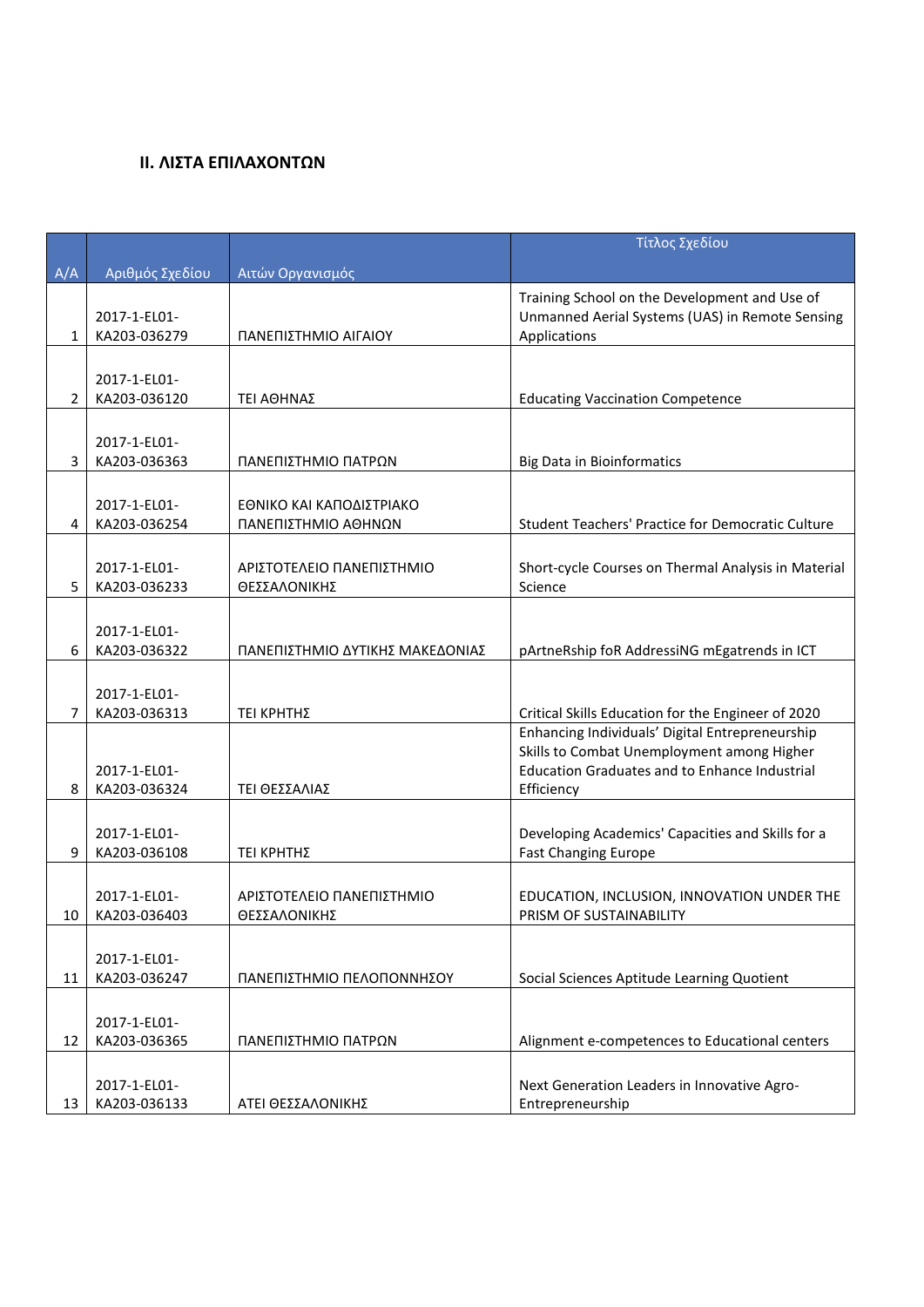### **ΙΙ. ΛΙΣΤΑ ΕΠΙΛΑΧΟΝΤΩΝ**

|              |                              |                                 | Τίτλος Σχεδίου                                                  |
|--------------|------------------------------|---------------------------------|-----------------------------------------------------------------|
| A/A          | Αριθμός Σχεδίου              | Αιτών Οργανισμός                |                                                                 |
|              |                              |                                 | Training School on the Development and Use of                   |
|              | 2017-1-EL01-                 |                                 | Unmanned Aerial Systems (UAS) in Remote Sensing                 |
| $\mathbf{1}$ | KA203-036279                 | ΠΑΝΕΠΙΣΤΗΜΙΟ ΑΙΓΑΙΟΥ            | Applications                                                    |
|              |                              |                                 |                                                                 |
|              | 2017-1-EL01-                 |                                 |                                                                 |
| 2            | KA203-036120                 | ΤΕΙ ΑΘΗΝΑΣ                      | <b>Educating Vaccination Competence</b>                         |
|              |                              |                                 |                                                                 |
|              | 2017-1-EL01-                 |                                 |                                                                 |
| 3            | KA203-036363                 | ΠΑΝΕΠΙΣΤΗΜΙΟ ΠΑΤΡΩΝ             | <b>Big Data in Bioinformatics</b>                               |
|              |                              |                                 |                                                                 |
|              | 2017-1-EL01-                 | ΕΘΝΙΚΟ ΚΑΙ ΚΑΠΟΔΙΣΤΡΙΑΚΟ        |                                                                 |
| 4            | KA203-036254                 | ΠΑΝΕΠΙΣΤΗΜΙΟ ΑΘΗΝΩΝ             | Student Teachers' Practice for Democratic Culture               |
|              |                              |                                 |                                                                 |
|              | 2017-1-EL01-                 | ΑΡΙΣΤΟΤΕΛΕΙΟ ΠΑΝΕΠΙΣΤΗΜΙΟ       | Short-cycle Courses on Thermal Analysis in Material             |
| 5            | KA203-036233                 | ΘΕΣΣΑΛΟΝΙΚΗΣ                    | Science                                                         |
|              |                              |                                 |                                                                 |
|              | 2017-1-EL01-                 |                                 |                                                                 |
| 6            | KA203-036322                 | ΠΑΝΕΠΙΣΤΗΜΙΟ ΔΥΤΙΚΗΣ ΜΑΚΕΔΟΝΙΑΣ | pArtneRship foR AddressiNG mEgatrends in ICT                    |
|              |                              |                                 |                                                                 |
|              | 2017-1-EL01-                 |                                 |                                                                 |
| 7            | KA203-036313                 | ΤΕΙ ΚΡΗΤΗΣ                      | Critical Skills Education for the Engineer of 2020              |
|              |                              |                                 | Enhancing Individuals' Digital Entrepreneurship                 |
|              |                              |                                 | Skills to Combat Unemployment among Higher                      |
|              | 2017-1-EL01-                 |                                 | <b>Education Graduates and to Enhance Industrial</b>            |
| 8            | KA203-036324                 | ΤΕΙ ΘΕΣΣΑΛΙΑΣ                   | Efficiency                                                      |
|              |                              |                                 |                                                                 |
|              | 2017-1-EL01-                 |                                 | Developing Academics' Capacities and Skills for a               |
| 9            | KA203-036108                 | ΤΕΙ ΚΡΗΤΗΣ                      | <b>Fast Changing Europe</b>                                     |
|              |                              |                                 |                                                                 |
|              | 2017-1-EL01-                 | ΑΡΙΣΤΟΤΕΛΕΙΟ ΠΑΝΕΠΙΣΤΗΜΙΟ       | EDUCATION, INCLUSION, INNOVATION UNDER THE                      |
| 10           | KA203-036403                 | ΘΕΣΣΑΛΟΝΙΚΗΣ                    | PRISM OF SUSTAINABILITY                                         |
|              |                              |                                 |                                                                 |
|              | 2017-1-EL01-                 |                                 |                                                                 |
| 11           | KA203-036247                 | ΠΑΝΕΠΙΣΤΗΜΙΟ ΠΕΛΟΠΟΝΝΗΣΟΥ       | Social Sciences Aptitude Learning Quotient                      |
|              |                              |                                 |                                                                 |
| 12           | 2017-1-EL01-<br>KA203-036365 | ΠΑΝΕΠΙΣΤΗΜΙΟ ΠΑΤΡΩΝ             | Alignment e-competences to Educational centers                  |
|              |                              |                                 |                                                                 |
|              |                              |                                 |                                                                 |
| 13           | 2017-1-EL01-<br>KA203-036133 | ΑΤΕΙ ΘΕΣΣΑΛΟΝΙΚΗΣ               | Next Generation Leaders in Innovative Agro-<br>Entrepreneurship |
|              |                              |                                 |                                                                 |